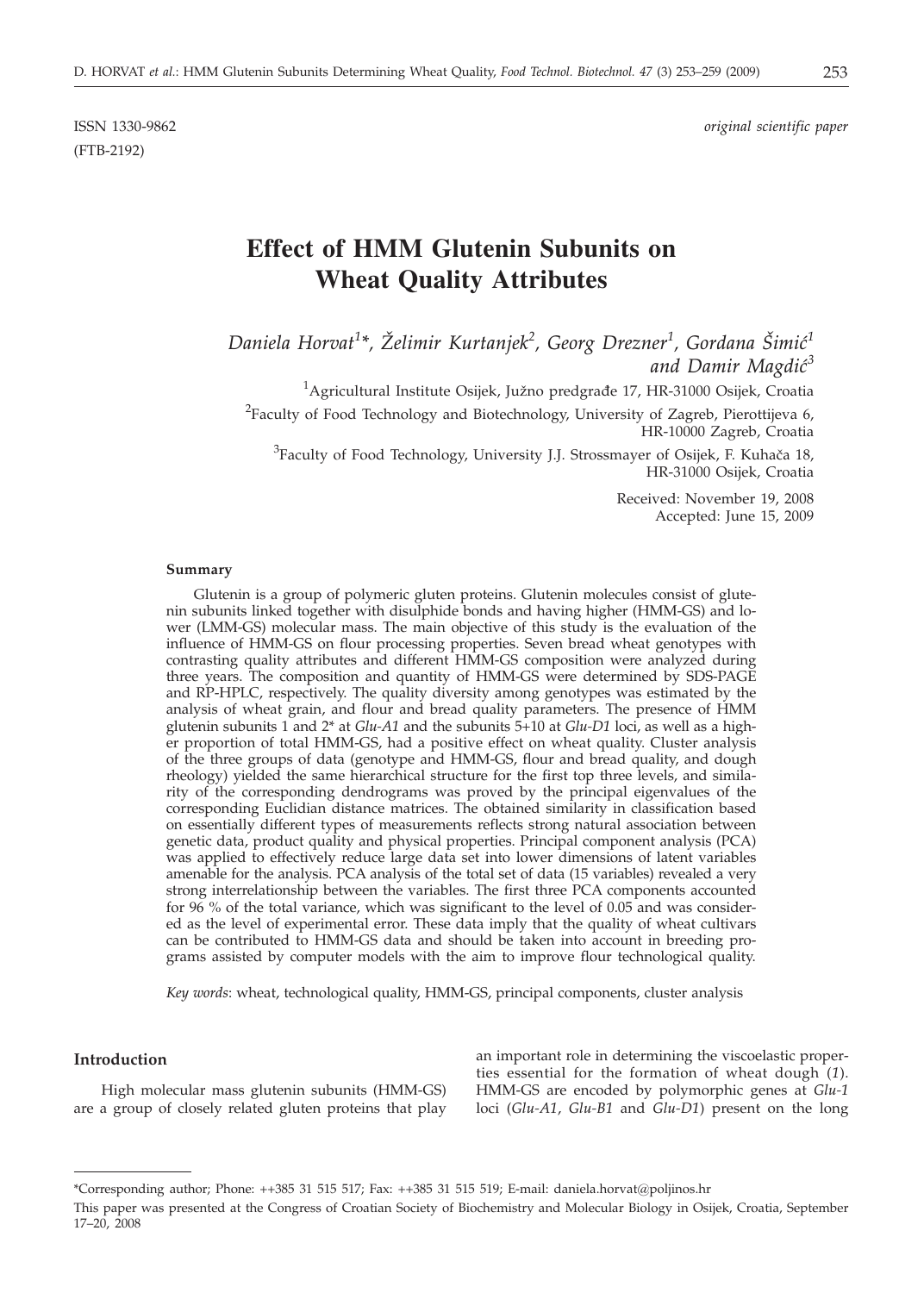(FTB-2192)

# **Effect of HMM Glutenin Subunits on Wheat Quality Attributes**

*Daniela Horvat<sup>1</sup> \*, @elimir Kurtanjek<sup>2</sup> , Georg Drezner<sup>1</sup> , Gordana [imi}<sup>1</sup> and Damir Magdi}<sup>3</sup>*

 $^{1}$ Agricultural Institute Osijek, Južno predgrađe 17, HR-31000 Osijek, Croatia <sup>2</sup>Faculty of Food Technology and Biotechnology, University of Zagreb, Pierottijeva 6, HR-10000 Zagreb, Croatia

 $^3$ Faculty of Food Technology, University J.J. Strossmayer of Osijek, F. Kuhača 18, HR-31000 Osijek, Croatia

> Received: November 19, 2008 Accepted: June 15, 2009

## **Summary**

Glutenin is a group of polymeric gluten proteins. Glutenin molecules consist of glutenin subunits linked together with disulphide bonds and having higher (HMM-GS) and lower (LMM-GS) molecular mass. The main objective of this study is the evaluation of the influence of HMM-GS on flour processing properties. Seven bread wheat genotypes with contrasting quality attributes and different HMM-GS composition were analyzed during three years. The composition and quantity of HMM-GS were determined by SDS-PAGE and RP-HPLC, respectively. The quality diversity among genotypes was estimated by the analysis of wheat grain, and flour and bread quality parameters. The presence of HMM glutenin subunits 1 and 2\* at *Glu-A1* and the subunits 5+10 at *Glu-D1* loci, as well as a higher proportion of total HMM-GS, had a positive effect on wheat quality. Cluster analysis of the three groups of data (genotype and HMM-GS, flour and bread quality, and dough rheology) yielded the same hierarchical structure for the first top three levels, and similarity of the corresponding dendrograms was proved by the principal eigenvalues of the corresponding Euclidian distance matrices. The obtained similarity in classification based on essentially different types of measurements reflects strong natural association between genetic data, product quality and physical properties. Principal component analysis (PCA) was applied to effectively reduce large data set into lower dimensions of latent variables amenable for the analysis. PCA analysis of the total set of data (15 variables) revealed a very strong interrelationship between the variables. The first three PCA components accounted for 96 % of the total variance, which was significant to the level of 0.05 and was considered as the level of experimental error. These data imply that the quality of wheat cultivars can be contributed to HMM-GS data and should be taken into account in breeding programs assisted by computer models with the aim to improve flour technological quality.

*Key words*: wheat, technological quality, HMM-GS, principal components, cluster analysis

## **Introduction**

High molecular mass glutenin subunits (HMM-GS) are a group of closely related gluten proteins that play an important role in determining the viscoelastic properties essential for the formation of wheat dough (*1*). HMM-GS are encoded by polymorphic genes at *Glu-1* loci (*Glu-A1*, *Glu-B1* and *Glu-D1*) present on the long

This paper was presented at the Congress of Croatian Society of Biochemistry and Molecular Biology in Osijek, Croatia, September 17–20, 2008

<sup>\*</sup>Corresponding author; Phone: ++385 31 515 517; Fax: ++385 31 515 519; E-mail: daniela.horvat@poljinos.hr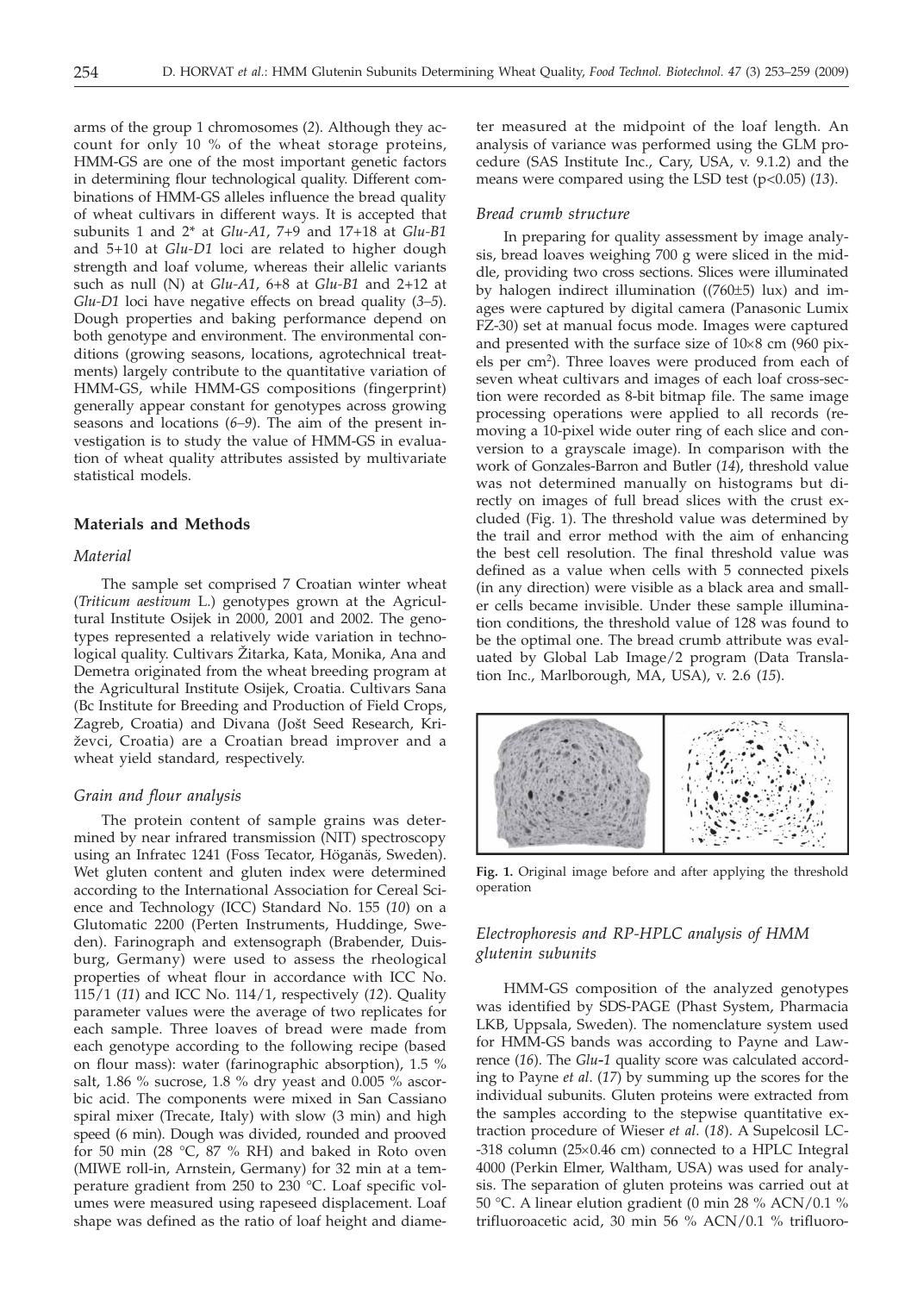arms of the group 1 chromosomes (*2*). Although they account for only 10 % of the wheat storage proteins, HMM-GS are one of the most important genetic factors in determining flour technological quality. Different combinations of HMM-GS alleles influence the bread quality of wheat cultivars in different ways. It is accepted that subunits 1 and 2\* at *Glu-A1*, 7+9 and 17+18 at *Glu-B1* and 5+10 at *Glu-D1* loci are related to higher dough strength and loaf volume, whereas their allelic variants such as null (N) at *Glu-A1*, 6+8 at *Glu-B1* and 2+12 at *Glu-D1* loci have negative effects on bread quality (*3–5*). Dough properties and baking performance depend on both genotype and environment. The environmental conditions (growing seasons, locations, agrotechnical treatments) largely contribute to the quantitative variation of HMM-GS, while HMM-GS compositions (fingerprint) generally appear constant for genotypes across growing seasons and locations (*6–9*). The aim of the present investigation is to study the value of HMM-GS in evaluation of wheat quality attributes assisted by multivariate statistical models.

# **Materials and Methods**

## *Material*

The sample set comprised 7 Croatian winter wheat (*Triticum aestivum* L.) genotypes grown at the Agricultural Institute Osijek in 2000, 2001 and 2002. The genotypes represented a relatively wide variation in technological quality. Cultivars Žitarka, Kata, Monika, Ana and Demetra originated from the wheat breeding program at the Agricultural Institute Osijek, Croatia. Cultivars Sana (Bc Institute for Breeding and Production of Field Crops, Zagreb, Croatia) and Divana (Jošt Seed Research, Križevci, Croatia) are a Croatian bread improver and a wheat yield standard, respectively.

## *Grain and flour analysis*

The protein content of sample grains was determined by near infrared transmission (NIT) spectroscopy using an Infratec 1241 (Foss Tecator, Höganäs, Sweden). Wet gluten content and gluten index were determined according to the International Association for Cereal Science and Technology (ICC) Standard No. 155 (*10*) on a Glutomatic 2200 (Perten Instruments, Huddinge, Sweden). Farinograph and extensograph (Brabender, Duisburg, Germany) were used to assess the rheological properties of wheat flour in accordance with ICC No. 115/1 (*11*) and ICC No. 114/1, respectively (*12*). Quality parameter values were the average of two replicates for each sample. Three loaves of bread were made from each genotype according to the following recipe (based on flour mass): water (farinographic absorption), 1.5 % salt, 1.86 % sucrose, 1.8 % dry yeast and 0.005 % ascorbic acid. The components were mixed in San Cassiano spiral mixer (Trecate, Italy) with slow (3 min) and high speed (6 min). Dough was divided, rounded and prooved for 50 min (28 °C, 87 % RH) and baked in Roto oven (MIWE roll-in, Arnstein, Germany) for 32 min at a temperature gradient from 250 to 230 °C. Loaf specific volumes were measured using rapeseed displacement. Loaf shape was defined as the ratio of loaf height and diameter measured at the midpoint of the loaf length. An analysis of variance was performed using the GLM procedure (SAS Institute Inc., Cary, USA, v. 9.1.2) and the means were compared using the LSD test (p<0.05) (*13*).

### *Bread crumb structure*

In preparing for quality assessment by image analysis, bread loaves weighing 700 g were sliced in the middle, providing two cross sections. Slices were illuminated by halogen indirect illumination ((760±5) lux) and images were captured by digital camera (Panasonic Lumix FZ-30) set at manual focus mode. Images were captured and presented with the surface size of  $10\times8$  cm (960 pixels per cm<sup>2</sup>). Three loaves were produced from each of seven wheat cultivars and images of each loaf cross-section were recorded as 8-bit bitmap file. The same image processing operations were applied to all records (removing a 10-pixel wide outer ring of each slice and conversion to a grayscale image). In comparison with the work of Gonzales-Barron and Butler (*14*), threshold value was not determined manually on histograms but directly on images of full bread slices with the crust excluded (Fig. 1). The threshold value was determined by the trail and error method with the aim of enhancing the best cell resolution. The final threshold value was defined as a value when cells with 5 connected pixels (in any direction) were visible as a black area and smaller cells became invisible. Under these sample illumination conditions, the threshold value of 128 was found to be the optimal one. The bread crumb attribute was evaluated by Global Lab Image/2 program (Data Translation Inc., Marlborough, MA, USA), v. 2.6 (*15*).



**Fig. 1.** Original image before and after applying the threshold operation

# *Electrophoresis and RP-HPLC analysis of HMM glutenin subunits*

HMM-GS composition of the analyzed genotypes was identified by SDS-PAGE (Phast System, Pharmacia LKB, Uppsala, Sweden). The nomenclature system used for HMM-GS bands was according to Payne and Lawrence (*16*). The *Glu-1* quality score was calculated according to Payne *et al*. (*17*) by summing up the scores for the individual subunits. Gluten proteins were extracted from the samples according to the stepwise quantitative extraction procedure of Wieser *et al*. (*18*). A Supelcosil LC-  $-318$  column (25 $\times$ 0.46 cm) connected to a HPLC Integral 4000 (Perkin Elmer, Waltham, USA) was used for analysis. The separation of gluten proteins was carried out at 50 °C. A linear elution gradient (0 min 28 % ACN/0.1 % trifluoroacetic acid, 30 min 56 % ACN/0.1 % trifluoro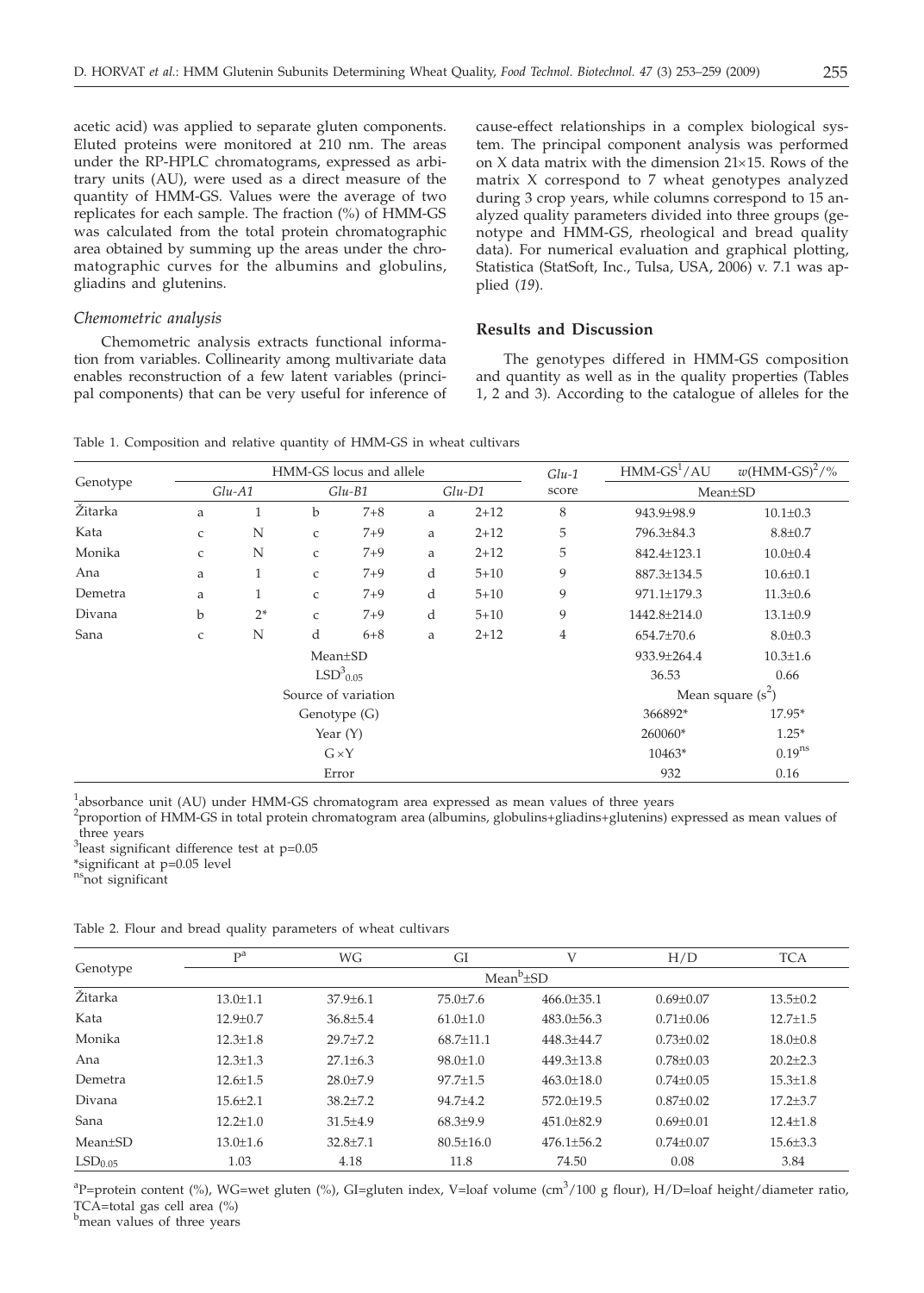acetic acid) was applied to separate gluten components. Eluted proteins were monitored at 210 nm. The areas under the RP-HPLC chromatograms, expressed as arbitrary units (AU), were used as a direct measure of the quantity of HMM-GS. Values were the average of two replicates for each sample. The fraction (%) of HMM-GS was calculated from the total protein chromatographic area obtained by summing up the areas under the chromatographic curves for the albumins and globulins, gliadins and glutenins.

# *Chemometric analysis*

Chemometric analysis extracts functional information from variables. Collinearity among multivariate data enables reconstruction of a few latent variables (principal components) that can be very useful for inference of cause-effect relationships in a complex biological system. The principal component analysis was performed on  $X$  data matrix with the dimension  $21\times15$ . Rows of the matrix X correspond to 7 wheat genotypes analyzed during 3 crop years, while columns correspond to 15 analyzed quality parameters divided into three groups (genotype and HMM-GS, rheological and bread quality data). For numerical evaluation and graphical plotting, Statistica (StatSoft, Inc., Tulsa, USA, 2006) v. 7.1 was applied (*19*).

# **Results and Discussion**

The genotypes differed in HMM-GS composition and quantity as well as in the quality properties (Tables 1, 2 and 3). According to the catalogue of alleles for the

Table 1. Composition and relative quantity of HMM-GS in wheat cultivars

| Genotype | HMM-GS locus and allele |              |              |         |          |          | $Glu-1$        | $HMM\text{-}GS^1/AU$ | $w(HMM\text{-}GS)^2/\%$ |
|----------|-------------------------|--------------|--------------|---------|----------|----------|----------------|----------------------|-------------------------|
|          | $Glu-A1$                |              | $Glu-B1$     |         | $Glu-D1$ |          | score          | $Mean \pm SD$        |                         |
| Žitarka  | a                       | 1            | b            | $7 + 8$ | a        | $2 + 12$ | 8              | 943.9±98.9           | $10.1 \pm 0.3$          |
| Kata     | $\mathsf{C}$            | N            | $\mathsf{C}$ | $7 + 9$ | a        | $2 + 12$ | 5              | 796.3±84.3           | $8.8 \pm 0.7$           |
| Monika   | $\mathsf{C}$            | N            | $\mathsf{C}$ | $7 + 9$ | a        | $2 + 12$ | 5              | 842.4±123.1          | $10.0 \pm 0.4$          |
| Ana      | a                       | $\mathbf{1}$ | $\mathsf{C}$ | $7 + 9$ | d        | $5 + 10$ | 9              | 887.3±134.5          | $10.6 \pm 0.1$          |
| Demetra  | a                       | 1            | $\mathsf{C}$ | $7 + 9$ | d        | $5 + 10$ | 9              | 971.1±179.3          | $11.3 \pm 0.6$          |
| Divana   | b                       | $2*$         | $\mathsf{C}$ | $7 + 9$ | d        | $5 + 10$ | 9              | 1442.8±214.0         | $13.1 \pm 0.9$          |
| Sana     | C                       | N            | d            | $6 + 8$ | a        | $2 + 12$ | $\overline{4}$ | 654.7±70.6           | $8.0 \pm 0.3$           |
|          | $Mean \pm SD$           |              |              |         |          |          |                | 933.9±264.4          | $10.3 \pm 1.6$          |
|          | $LSD3_{0.05}$           |              |              |         |          |          | 36.53          | 0.66                 |                         |
|          | Source of variation     |              |              |         |          |          |                | Mean square $(s^2)$  |                         |
|          | Genotype (G)            |              |              |         |          |          |                | 366892*              | $17.95*$                |
|          | Year $(Y)$              |              |              |         |          |          |                | 260060*              | $1.25*$                 |
|          | $G \times Y$            |              |              |         |          |          |                | 10463*               | $0.19^{ns}$             |
|          | Error                   |              |              |         | 932      | 0.16     |                |                      |                         |

<sup>1</sup>absorbance unit (AU) under HMM-GS chromatogram area expressed as mean values of three years

2 proportion of HMM-GS in total protein chromatogram area (albumins, globulins+gliadins+glutenins) expressed as mean values of three years

<sup>3</sup>least significant difference test at p=0.05

\*significant at p=0.05 level

<sup>ns</sup>not significant

Table 2. Flour and bread quality parameters of wheat cultivars

| Genotype            | P <sup>a</sup>  | WG             | GI              | V                | H/D           | <b>TCA</b>     |  |  |
|---------------------|-----------------|----------------|-----------------|------------------|---------------|----------------|--|--|
|                     | $Mean^b \pm SD$ |                |                 |                  |               |                |  |  |
| Žitarka             | $13.0 + 1.1$    | $37.9 + 6.1$   | $75.0 + 7.6$    | $466.0 + 35.1$   | $0.69 + 0.07$ | $13.5 \pm 0.2$ |  |  |
| Kata                | $12.9 \pm 0.7$  | $36.8 \pm 5.4$ | $61.0 \pm 1.0$  | $483.0 \pm 56.3$ | $0.71 + 0.06$ | $12.7 \pm 1.5$ |  |  |
| Monika              | $12.3 + 1.8$    | $29.7 + 7.2$   | $68.7 + 11.1$   | $448.3 + 44.7$   | $0.73 + 0.02$ | $18.0 \pm 0.8$ |  |  |
| Ana                 | $12.3 \pm 1.3$  | $27.1 \pm 6.3$ | $98.0 \pm 1.0$  | $449.3 + 13.8$   | $0.78 + 0.03$ | $20.2 + 2.3$   |  |  |
| Demetra             | $12.6 \pm 1.5$  | $28.0 + 7.9$   | $97.7 + 1.5$    | $463.0 + 18.0$   | $0.74 + 0.05$ | $15.3 + 1.8$   |  |  |
| Divana              | $15.6 \pm 2.1$  | $38.2{\pm}7.2$ | $94.7 + 4.2$    | $572.0 \pm 19.5$ | $0.87+0.02$   | $17.2 \pm 3.7$ |  |  |
| Sana                | $12.2 + 1.0$    | $31.5 + 4.9$   | $68.3 + 9.9$    | $451.0 + 82.9$   | $0.69 + 0.01$ | $12.4 + 1.8$   |  |  |
| Mean±SD             | $13.0 \pm 1.6$  | $32.8 \pm 7.1$ | $80.5 \pm 16.0$ | $476.1 \pm 56.2$ | $0.74 + 0.07$ | $15.6 \pm 3.3$ |  |  |
| LSD <sub>0.05</sub> | 1.03            | 4.18           | 11.8            | 74.50            | 0.08          | 3.84           |  |  |

<sup>a</sup>P=protein content (%), WG=wet gluten (%), GI=gluten index, V=loaf volume (cm<sup>3</sup>/100 g flour), H/D=loaf height/diameter ratio, TCA=total gas cell area (%)

b<sub>mean values of three years</sub>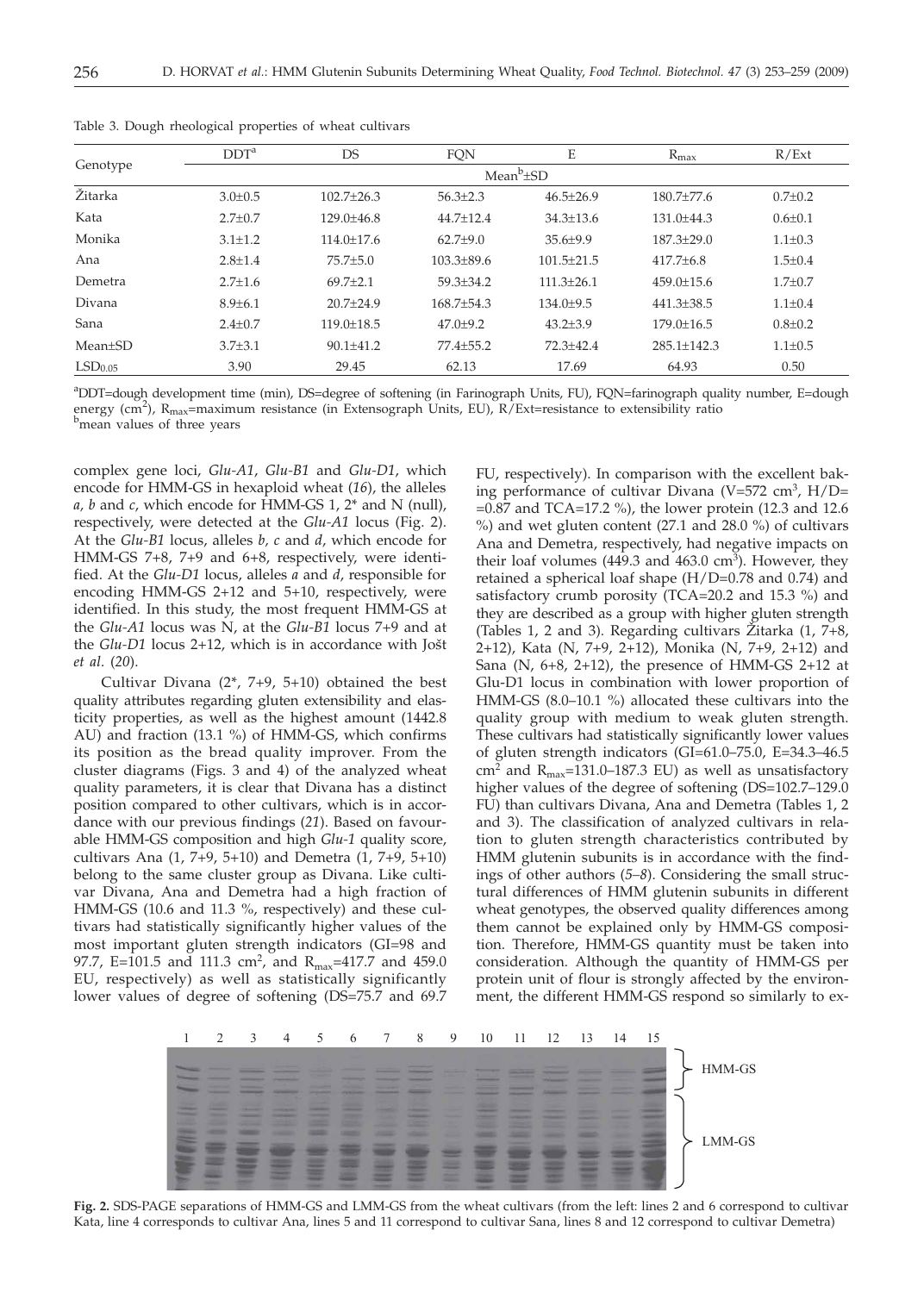| Genotype            | DDT <sup>a</sup> | DS               | <b>FON</b>     | E               | $R_{\text{max}}$  | R/Ext         |  |  |  |
|---------------------|------------------|------------------|----------------|-----------------|-------------------|---------------|--|--|--|
|                     | $Mean^b \pm SD$  |                  |                |                 |                   |               |  |  |  |
| Žitarka             | $3.0 \pm 0.5$    | $102.7 + 26.3$   | $56.3 \pm 2.3$ | $46.5 \pm 26.9$ | $180.7 + 77.6$    | $0.7 \pm 0.2$ |  |  |  |
| Kata                | $2.7+0.7$        | $129.0 + 46.8$   | $44.7 + 12.4$  | $34.3 \pm 13.6$ | $131.0 + 44.3$    | $0.6 \pm 0.1$ |  |  |  |
| Monika              | $3.1 \pm 1.2$    | $114.0 \pm 17.6$ | $62.7+9.0$     | $35.6 \pm 9.9$  | $187.3 + 29.0$    | $1.1 \pm 0.3$ |  |  |  |
| Ana                 | $2.8 \pm 1.4$    | $75.7 + 5.0$     | $103.3 + 89.6$ | $101.5 + 21.5$  | $417.7 \pm 6.8$   | $1.5 \pm 0.4$ |  |  |  |
| Demetra             | $2.7 + 1.6$      | $69.7 + 2.1$     | $59.3 + 34.2$  | $111.3 + 26.1$  | $459.0 + 15.6$    | $1.7+0.7$     |  |  |  |
| Divana              | $8.9{\pm}6.1$    | $20.7 + 24.9$    | $168.7 + 54.3$ | 134.0±9.5       | $441.3 \pm 38.5$  | $1.1 + 0.4$   |  |  |  |
| Sana                | $2.4 \pm 0.7$    | $119.0 \pm 18.5$ | $47.0 \pm 9.2$ | $43.2 \pm 3.9$  | $179.0 \pm 16.5$  | $0.8 \pm 0.2$ |  |  |  |
| $Mean+SD$           | $3.7{\pm}3.1$    | $90.1 + 41.2$    | $77.4 + 55.2$  | $72.3 + 42.4$   | $285.1 \pm 142.3$ | $1.1 + 0.5$   |  |  |  |
| LSD <sub>0.05</sub> | 3.90             | 29.45            | 62.13          | 17.69           | 64.93             | 0.50          |  |  |  |

Table 3. Dough rheological properties of wheat cultivars

a DDT=dough development time (min), DS=degree of softening (in Farinograph Units, FU), FQN=farinograph quality number, E=dough energy (cm<sup>2</sup>), R<sub>max</sub>=maximum resistance (in Extensograph Units, EU), R/Ext=resistance to extensibility ratio b<br>bmoan values of three years <sup>b</sup>mean values of three years

complex gene loci, *Glu-A1*, *Glu-B1* and *Glu-D1*, which encode for HMM-GS in hexaploid wheat (*16*), the alleles *a, b* and *c*, which encode for HMM-GS 1, 2\* and N (null), respectively, were detected at the *Glu-A1* locus (Fig. 2). At the *Glu-B1* locus, alleles *b, c* and *d*, which encode for HMM-GS 7+8, 7+9 and 6+8, respectively, were identified. At the *Glu-D1* locus, alleles *a* and *d*, responsible for encoding HMM-GS 2+12 and 5+10, respectively, were identified. In this study, the most frequent HMM-GS at the *Glu-A1* locus was N, at the *Glu-B1* locus 7+9 and at the  $Glu-D1$  locus  $2+12$ , which is in accordance with Jošt *et al*. (*20*).

Cultivar Divana  $(2^*, 7+9, 5+10)$  obtained the best quality attributes regarding gluten extensibility and elasticity properties, as well as the highest amount (1442.8 AU) and fraction (13.1 %) of HMM-GS, which confirms its position as the bread quality improver. From the cluster diagrams (Figs. 3 and 4) of the analyzed wheat quality parameters, it is clear that Divana has a distinct position compared to other cultivars, which is in accordance with our previous findings (*21*). Based on favourable HMM-GS composition and high *Glu-1* quality score, cultivars Ana  $(1, 7+9, 5+10)$  and Demetra  $(1, 7+9, 5+10)$ belong to the same cluster group as Divana. Like cultivar Divana, Ana and Demetra had a high fraction of HMM-GS (10.6 and 11.3 %, respectively) and these cultivars had statistically significantly higher values of the most important gluten strength indicators (GI=98 and 97.7, E=101.5 and 111.3 cm<sup>2</sup>, and R<sub>max</sub>=417.7 and 459.0 EU, respectively) as well as statistically significantly lower values of degree of softening (DS=75.7 and 69.7

FU, respectively). In comparison with the excellent baking performance of cultivar Divana (V=572 cm<sup>3</sup>, H/D= =0.87 and TCA=17.2 %), the lower protein (12.3 and 12.6 %) and wet gluten content (27.1 and 28.0 %) of cultivars Ana and Demetra, respectively, had negative impacts on their loaf volumes (449.3 and 463.0  $\text{cm}^3$ ). However, they retained a spherical loaf shape (H/D=0.78 and 0.74) and satisfactory crumb porosity (TCA=20.2 and 15.3 %) and they are described as a group with higher gluten strength (Tables 1, 2 and 3). Regarding cultivars Žitarka  $(1, 7+8, 7)$ 2+12), Kata (N, 7+9, 2+12), Monika (N, 7+9, 2+12) and Sana (N, 6+8, 2+12), the presence of HMM-GS 2+12 at Glu-D1 locus in combination with lower proportion of HMM-GS (8.0–10.1 %) allocated these cultivars into the quality group with medium to weak gluten strength. These cultivars had statistically significantly lower values of gluten strength indicators (GI=61.0–75.0, E=34.3–46.5 cm<sup>2</sup> and  $R_{\text{max}}$ =131.0–187.3 EU) as well as unsatisfactory higher values of the degree of softening (DS=102.7–129.0) FU) than cultivars Divana, Ana and Demetra (Tables 1, 2 and 3). The classification of analyzed cultivars in relation to gluten strength characteristics contributed by HMM glutenin subunits is in accordance with the findings of other authors (*5–8*). Considering the small structural differences of HMM glutenin subunits in different wheat genotypes, the observed quality differences among them cannot be explained only by HMM-GS composition. Therefore, HMM-GS quantity must be taken into consideration. Although the quantity of HMM-GS per protein unit of flour is strongly affected by the environment, the different HMM-GS respond so similarly to ex-



**Fig. 2.** SDS-PAGE separations of HMM-GS and LMM-GS from the wheat cultivars (from the left: lines 2 and 6 correspond to cultivar Kata, line 4 corresponds to cultivar Ana, lines 5 and 11 correspond to cultivar Sana, lines 8 and 12 correspond to cultivar Demetra)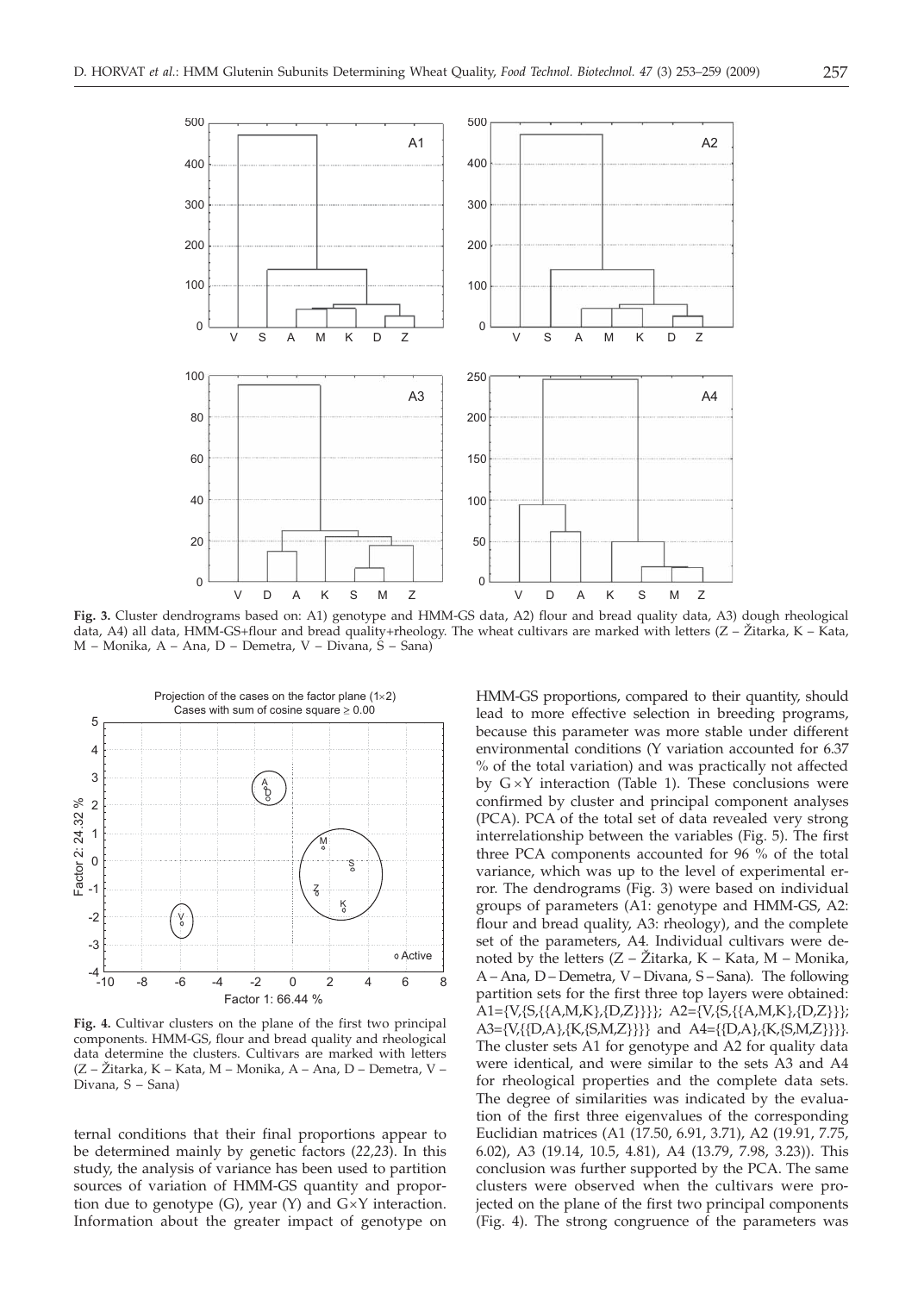

**Fig. 3.** Cluster dendrograms based on: A1) genotype and HMM-GS data, A2) flour and bread quality data, A3) dough rheological data, A4) all data, HMM-GS+flour and bread quality+rheology. The wheat cultivars are marked with letters ( $Z - \check{Z}$ itarka, K – Kata, M – Monika, A – Ana, D – Demetra, V – Divana, S – Sana)



**Fig. 4.** Cultivar clusters on the plane of the first two principal components. HMM-GS, flour and bread quality and rheological data determine the clusters. Cultivars are marked with letters (Z – @itarka, K – Kata, M – Monika, A – Ana, D – Demetra, V – Divana, S – Sana)

ternal conditions that their final proportions appear to be determined mainly by genetic factors (*22,23*). In this study, the analysis of variance has been used to partition sources of variation of HMM-GS quantity and proportion due to genotype  $(G)$ , year  $(Y)$  and  $G\times Y$  interaction. Information about the greater impact of genotype on HMM-GS proportions, compared to their quantity, should lead to more effective selection in breeding programs, because this parameter was more stable under different environmental conditions (Y variation accounted for 6.37 % of the total variation) and was practically not affected by  $G \times Y$  interaction (Table 1). These conclusions were confirmed by cluster and principal component analyses (PCA). PCA of the total set of data revealed very strong interrelationship between the variables (Fig. 5). The first three PCA components accounted for 96 % of the total variance, which was up to the level of experimental error. The dendrograms (Fig. 3) were based on individual groups of parameters (A1: genotype and HMM-GS, A2: flour and bread quality, A3: rheology), and the complete set of the parameters, A4. Individual cultivars were denoted by the letters  $(Z - \overline{Z})$  tarka, K – Kata, M – Monika, A – Ana, D – Demetra, V – Divana, S – Sana). The following partition sets for the first three top layers were obtained: .<br>A1={V,{S,{{A,M,K},{D,Z}}}}; A2={V,{S,{{A,M,K},{D,Z}}}; A3={V,{{D,A},{K,{S,M,Z}}}} and A4={{D,A},{K,{S,M,Z}}}}. The cluster sets A1 for genotype and A2 for quality data were identical, and were similar to the sets A3 and A4 for rheological properties and the complete data sets. The degree of similarities was indicated by the evaluation of the first three eigenvalues of the corresponding Euclidian matrices (A1 (17.50, 6.91, 3.71), A2 (19.91, 7.75, 6.02), A3 (19.14, 10.5, 4.81), A4 (13.79, 7.98, 3.23)). This conclusion was further supported by the PCA. The same clusters were observed when the cultivars were projected on the plane of the first two principal components (Fig. 4). The strong congruence of the parameters was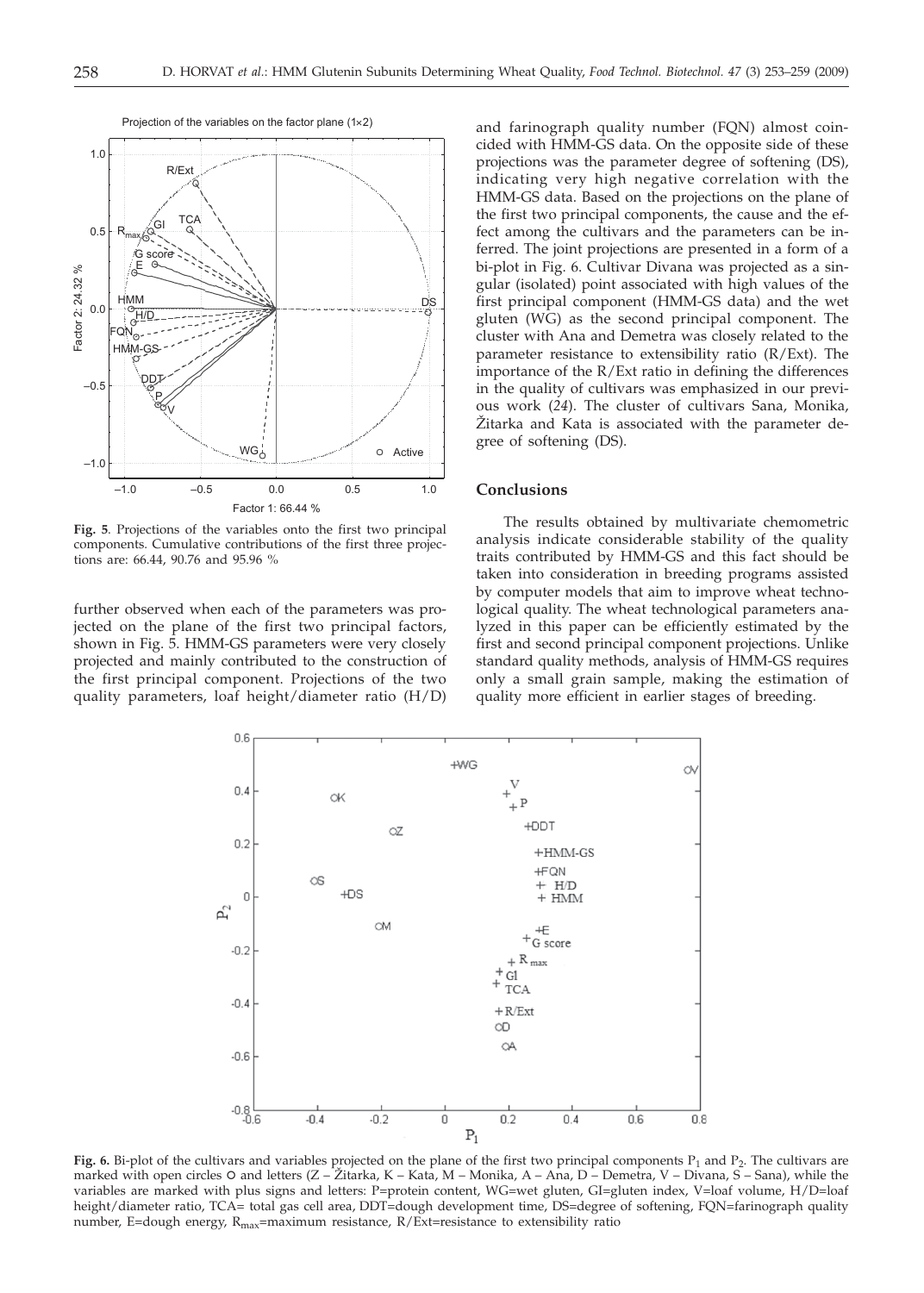

**Fig. 5**. Projections of the variables onto the first two principal components. Cumulative contributions of the first three projections are: 66.44, 90.76 and 95.96 %

further observed when each of the parameters was projected on the plane of the first two principal factors, shown in Fig. 5. HMM-GS parameters were very closely projected and mainly contributed to the construction of the first principal component. Projections of the two quality parameters, loaf height/diameter ratio (H/D)

and farinograph quality number (FQN) almost coincided with HMM-GS data. On the opposite side of these projections was the parameter degree of softening (DS), indicating very high negative correlation with the HMM-GS data. Based on the projections on the plane of the first two principal components, the cause and the effect among the cultivars and the parameters can be inferred. The joint projections are presented in a form of a bi-plot in Fig. 6. Cultivar Divana was projected as a singular (isolated) point associated with high values of the first principal component (HMM-GS data) and the wet gluten (WG) as the second principal component. The cluster with Ana and Demetra was closely related to the parameter resistance to extensibility ratio (R/Ext). The importance of the R/Ext ratio in defining the differences in the quality of cultivars was emphasized in our previous work (*24*). The cluster of cultivars Sana, Monika, Žitarka and Kata is associated with the parameter degree of softening (DS).

## **Conclusions**

The results obtained by multivariate chemometric analysis indicate considerable stability of the quality traits contributed by HMM-GS and this fact should be taken into consideration in breeding programs assisted by computer models that aim to improve wheat technological quality. The wheat technological parameters analyzed in this paper can be efficiently estimated by the first and second principal component projections. Unlike standard quality methods, analysis of HMM-GS requires only a small grain sample, making the estimation of quality more efficient in earlier stages of breeding.



Fig. 6. Bi-plot of the cultivars and variables projected on the plane of the first two principal components P<sub>1</sub> and P<sub>2</sub>. The cultivars are marked with open circles O and letters (Z – Žitarka, K – Kata, M – Monika, A – Ana, D – Demetra, V – Divana, S – Sana), while the variables are marked with plus signs and letters: P=protein content, WG=wet gluten, GI=gluten index, V=loaf volume, H/D=loaf height/diameter ratio, TCA= total gas cell area, DDT=dough development time, DS=degree of softening, FQN=farinograph quality number, E=dough energy,  $R_{\text{max}}$ =maximum resistance,  $R/Ext$ =resistance to extensibility ratio